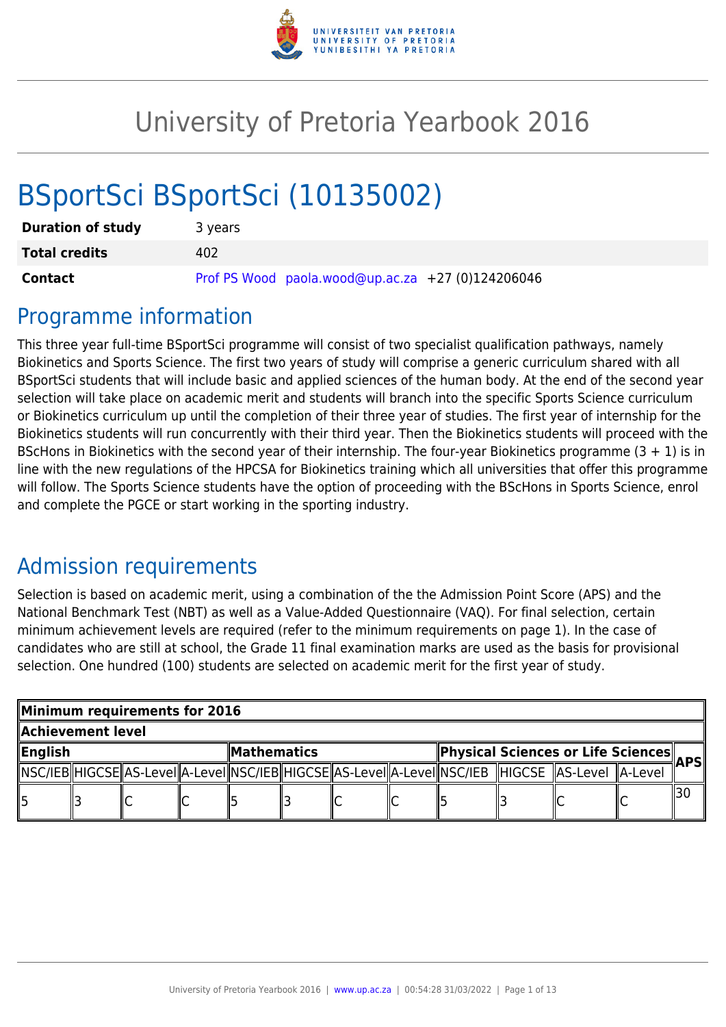

# University of Pretoria Yearbook 2016

# BSportSci BSportSci (10135002)

| <b>Duration of study</b> | 3 years                                           |
|--------------------------|---------------------------------------------------|
| <b>Total credits</b>     | 402                                               |
| <b>Contact</b>           | Prof PS Wood paola.wood@up.ac.za +27 (0)124206046 |

# Programme information

This three year full-time BSportSci programme will consist of two specialist qualification pathways, namely Biokinetics and Sports Science. The first two years of study will comprise a generic curriculum shared with all BSportSci students that will include basic and applied sciences of the human body. At the end of the second year selection will take place on academic merit and students will branch into the specific Sports Science curriculum or Biokinetics curriculum up until the completion of their three year of studies. The first year of internship for the Biokinetics students will run concurrently with their third year. Then the Biokinetics students will proceed with the BScHons in Biokinetics with the second year of their internship. The four-year Biokinetics programme  $(3 + 1)$  is in line with the new regulations of the HPCSA for Biokinetics training which all universities that offer this programme will follow. The Sports Science students have the option of proceeding with the BScHons in Sports Science, enrol and complete the PGCE or start working in the sporting industry.

# Admission requirements

Selection is based on academic merit, using a combination of the the Admission Point Score (APS) and the National Benchmark Test (NBT) as well as a Value-Added Questionnaire (VAQ). For final selection, certain minimum achievement levels are required (refer to the minimum requirements on page 1). In the case of candidates who are still at school, the Grade 11 final examination marks are used as the basis for provisional selection. One hundred (100) students are selected on academic merit for the first year of study.

| Minimum requirements for 2016 |  |  |  |                                    |  |  |      |                                                                                                               |  |  |
|-------------------------------|--|--|--|------------------------------------|--|--|------|---------------------------------------------------------------------------------------------------------------|--|--|
| Achievement level             |  |  |  |                                    |  |  |      |                                                                                                               |  |  |
| ∥English<br>MathematicsM      |  |  |  | Physical Sciences or Life Sciences |  |  | APSI |                                                                                                               |  |  |
|                               |  |  |  |                                    |  |  |      | NSC/IEB  HIGCSE  AS-Level  A-Level  NSC/IEB  HIGCSE  AS-Level  A-Level  NSC/IEB   HIGCSE   AS-Level   A-Level |  |  |
|                               |  |  |  |                                    |  |  |      |                                                                                                               |  |  |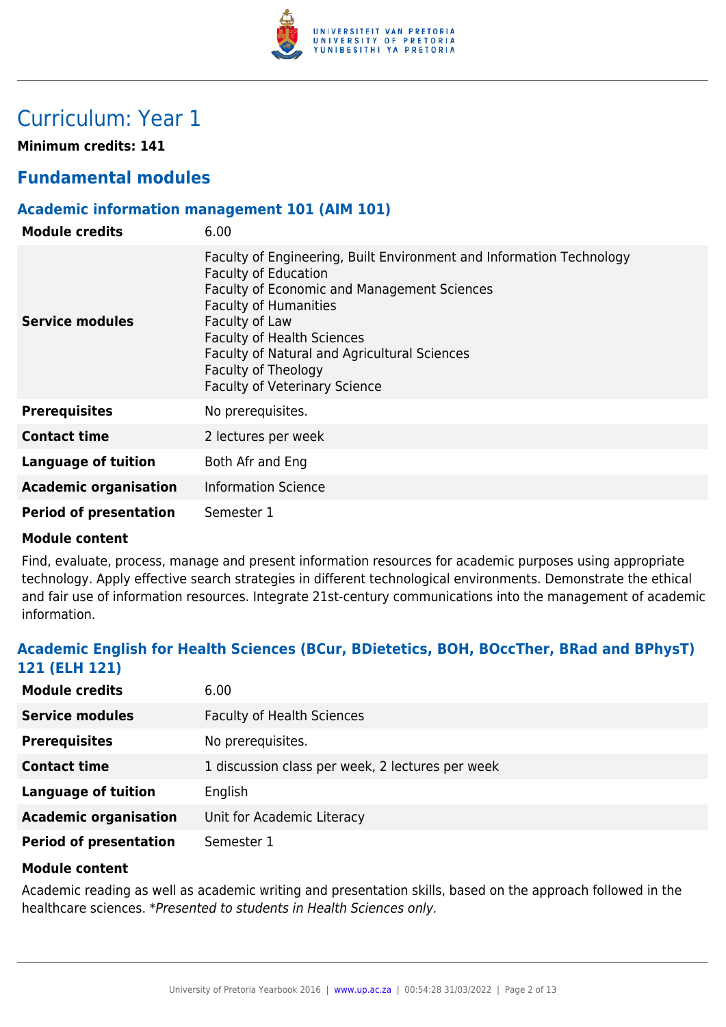

# Curriculum: Year 1

**Minimum credits: 141**

# **Fundamental modules**

# **Academic information management 101 (AIM 101)**

| <b>Module credits</b>         | 6.00                                                                                                                                                                                                                                                                                                                                                     |
|-------------------------------|----------------------------------------------------------------------------------------------------------------------------------------------------------------------------------------------------------------------------------------------------------------------------------------------------------------------------------------------------------|
| Service modules               | Faculty of Engineering, Built Environment and Information Technology<br><b>Faculty of Education</b><br>Faculty of Economic and Management Sciences<br><b>Faculty of Humanities</b><br>Faculty of Law<br><b>Faculty of Health Sciences</b><br>Faculty of Natural and Agricultural Sciences<br>Faculty of Theology<br><b>Faculty of Veterinary Science</b> |
| <b>Prerequisites</b>          | No prerequisites.                                                                                                                                                                                                                                                                                                                                        |
| <b>Contact time</b>           | 2 lectures per week                                                                                                                                                                                                                                                                                                                                      |
| Language of tuition           | Both Afr and Eng                                                                                                                                                                                                                                                                                                                                         |
| <b>Academic organisation</b>  | <b>Information Science</b>                                                                                                                                                                                                                                                                                                                               |
| <b>Period of presentation</b> | Semester 1                                                                                                                                                                                                                                                                                                                                               |

# **Module content**

Find, evaluate, process, manage and present information resources for academic purposes using appropriate technology. Apply effective search strategies in different technological environments. Demonstrate the ethical and fair use of information resources. Integrate 21st-century communications into the management of academic information.

# **Academic English for Health Sciences (BCur, BDietetics, BOH, BOccTher, BRad and BPhysT) 121 (ELH 121)**

| <b>Module credits</b>         | 6.00                                             |
|-------------------------------|--------------------------------------------------|
| <b>Service modules</b>        | <b>Faculty of Health Sciences</b>                |
| <b>Prerequisites</b>          | No prerequisites.                                |
| <b>Contact time</b>           | 1 discussion class per week, 2 lectures per week |
| <b>Language of tuition</b>    | English                                          |
| <b>Academic organisation</b>  | Unit for Academic Literacy                       |
| <b>Period of presentation</b> | Semester 1                                       |

# **Module content**

Academic reading as well as academic writing and presentation skills, based on the approach followed in the healthcare sciences. \*Presented to students in Health Sciences only.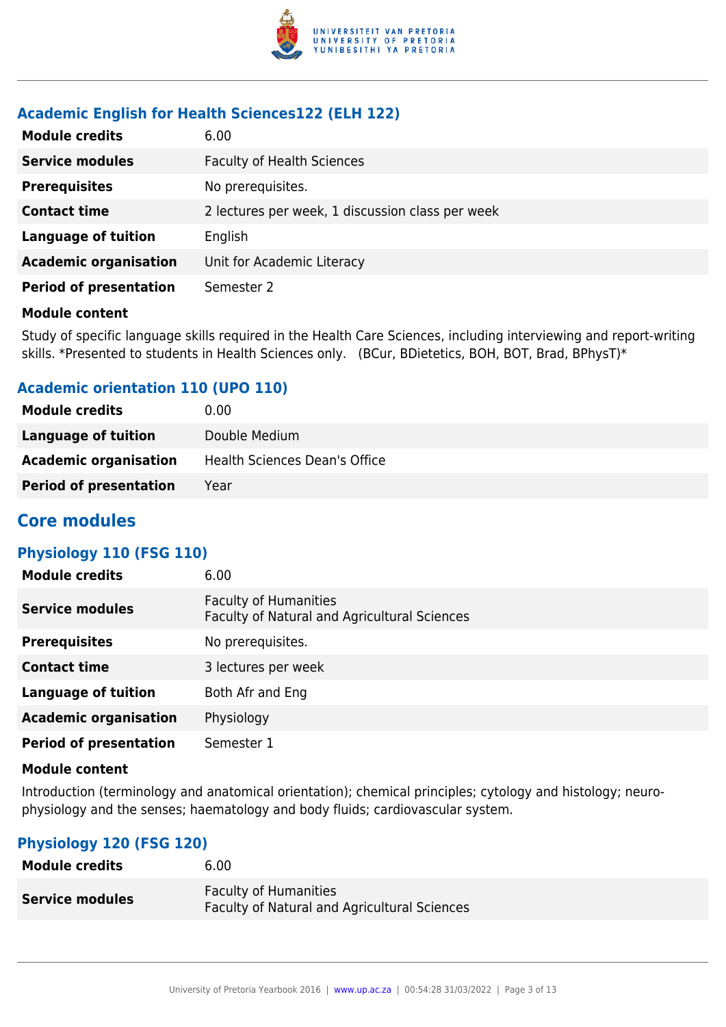

# **Academic English for Health Sciences122 (ELH 122)**

| <b>Module credits</b>         | 6.00                                             |
|-------------------------------|--------------------------------------------------|
| <b>Service modules</b>        | <b>Faculty of Health Sciences</b>                |
| <b>Prerequisites</b>          | No prerequisites.                                |
| <b>Contact time</b>           | 2 lectures per week, 1 discussion class per week |
| <b>Language of tuition</b>    | English                                          |
| <b>Academic organisation</b>  | Unit for Academic Literacy                       |
| <b>Period of presentation</b> | Semester 2                                       |

#### **Module content**

Study of specific language skills required in the Health Care Sciences, including interviewing and report-writing skills. \*Presented to students in Health Sciences only. (BCur, BDietetics, BOH, BOT, Brad, BPhysT)\*

# **Academic orientation 110 (UPO 110)**

| <b>Module credits</b>         | 0.00                          |
|-------------------------------|-------------------------------|
| Language of tuition           | Double Medium                 |
| <b>Academic organisation</b>  | Health Sciences Dean's Office |
| <b>Period of presentation</b> | Year                          |

# **Core modules**

# **Physiology 110 (FSG 110)**

| <b>Module credits</b>         | 6.00                                                                         |
|-------------------------------|------------------------------------------------------------------------------|
| <b>Service modules</b>        | <b>Faculty of Humanities</b><br>Faculty of Natural and Agricultural Sciences |
| <b>Prerequisites</b>          | No prerequisites.                                                            |
| <b>Contact time</b>           | 3 lectures per week                                                          |
| <b>Language of tuition</b>    | Both Afr and Eng                                                             |
| <b>Academic organisation</b>  | Physiology                                                                   |
| <b>Period of presentation</b> | Semester 1                                                                   |

#### **Module content**

Introduction (terminology and anatomical orientation); chemical principles; cytology and histology; neurophysiology and the senses; haematology and body fluids; cardiovascular system.

# **Physiology 120 (FSG 120)**

| <b>Module credits</b>  | 6.00                                                                                |
|------------------------|-------------------------------------------------------------------------------------|
| <b>Service modules</b> | <b>Faculty of Humanities</b><br><b>Faculty of Natural and Agricultural Sciences</b> |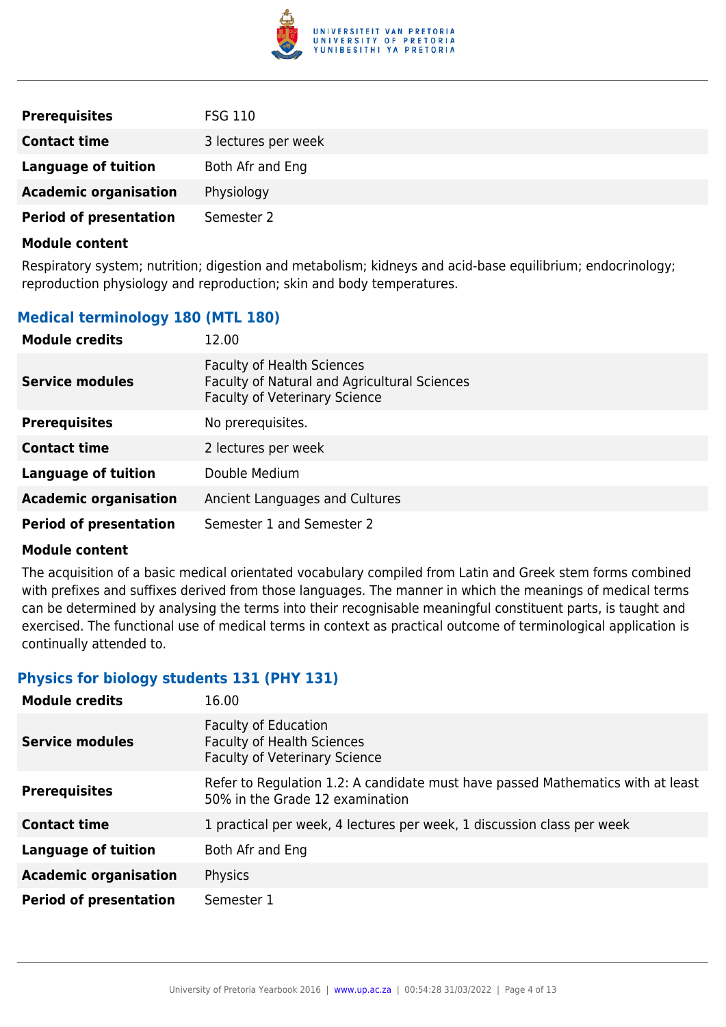

| <b>Prerequisites</b>          | <b>FSG 110</b>      |
|-------------------------------|---------------------|
| <b>Contact time</b>           | 3 lectures per week |
| Language of tuition           | Both Afr and Eng    |
| <b>Academic organisation</b>  | Physiology          |
| <b>Period of presentation</b> | Semester 2          |

Respiratory system; nutrition; digestion and metabolism; kidneys and acid-base equilibrium; endocrinology; reproduction physiology and reproduction; skin and body temperatures.

# **Medical terminology 180 (MTL 180)**

| <b>Module credits</b>         | 12.00                                                                                                                     |
|-------------------------------|---------------------------------------------------------------------------------------------------------------------------|
| <b>Service modules</b>        | <b>Faculty of Health Sciences</b><br>Faculty of Natural and Agricultural Sciences<br><b>Faculty of Veterinary Science</b> |
| <b>Prerequisites</b>          | No prerequisites.                                                                                                         |
| <b>Contact time</b>           | 2 lectures per week                                                                                                       |
| <b>Language of tuition</b>    | Double Medium                                                                                                             |
| <b>Academic organisation</b>  | Ancient Languages and Cultures                                                                                            |
| <b>Period of presentation</b> | Semester 1 and Semester 2                                                                                                 |

#### **Module content**

The acquisition of a basic medical orientated vocabulary compiled from Latin and Greek stem forms combined with prefixes and suffixes derived from those languages. The manner in which the meanings of medical terms can be determined by analysing the terms into their recognisable meaningful constituent parts, is taught and exercised. The functional use of medical terms in context as practical outcome of terminological application is continually attended to.

# **Physics for biology students 131 (PHY 131)**

| <b>Module credits</b>         | 16.00                                                                                                              |
|-------------------------------|--------------------------------------------------------------------------------------------------------------------|
| Service modules               | <b>Faculty of Education</b><br><b>Faculty of Health Sciences</b><br><b>Faculty of Veterinary Science</b>           |
| <b>Prerequisites</b>          | Refer to Regulation 1.2: A candidate must have passed Mathematics with at least<br>50% in the Grade 12 examination |
| <b>Contact time</b>           | 1 practical per week, 4 lectures per week, 1 discussion class per week                                             |
| <b>Language of tuition</b>    | Both Afr and Eng                                                                                                   |
| <b>Academic organisation</b>  | Physics                                                                                                            |
| <b>Period of presentation</b> | Semester 1                                                                                                         |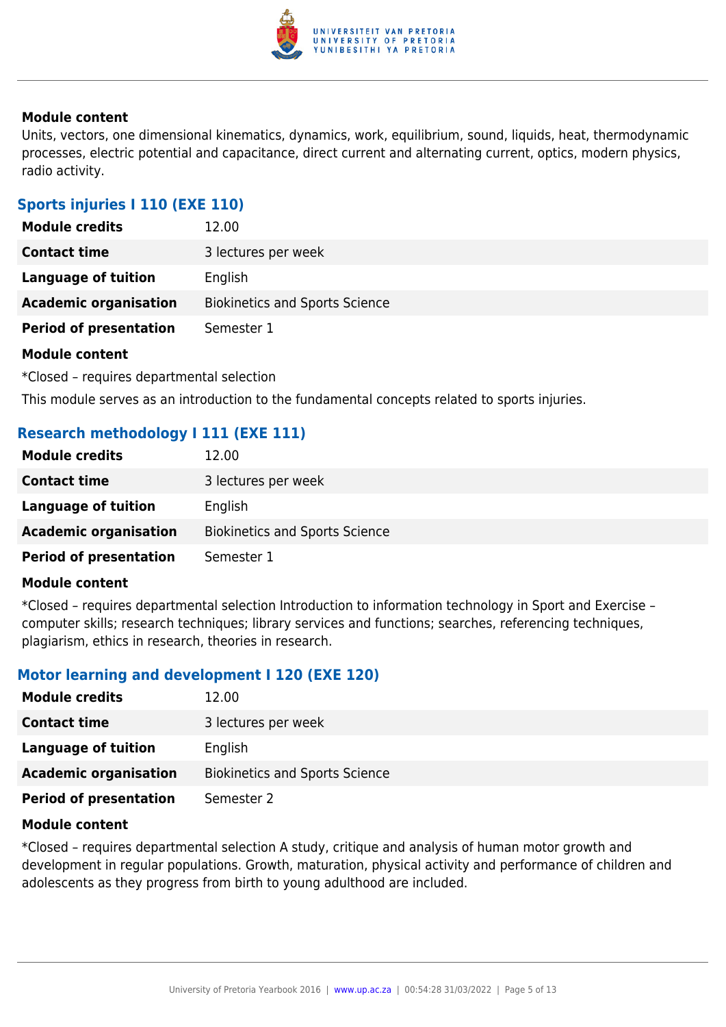

Units, vectors, one dimensional kinematics, dynamics, work, equilibrium, sound, liquids, heat, thermodynamic processes, electric potential and capacitance, direct current and alternating current, optics, modern physics, radio activity.

# **Sports injuries I 110 (EXE 110)**

| <b>Module credits</b>         | 12.00                                 |
|-------------------------------|---------------------------------------|
| <b>Contact time</b>           | 3 lectures per week                   |
| Language of tuition           | English                               |
| <b>Academic organisation</b>  | <b>Biokinetics and Sports Science</b> |
| <b>Period of presentation</b> | Semester 1                            |
| Madula cantant                |                                       |

#### **Module content**

\*Closed – requires departmental selection

This module serves as an introduction to the fundamental concepts related to sports injuries.

# **Research methodology I 111 (EXE 111)**

| <b>Module credits</b>         | 12.00                                 |
|-------------------------------|---------------------------------------|
| <b>Contact time</b>           | 3 lectures per week                   |
| Language of tuition           | English                               |
| <b>Academic organisation</b>  | <b>Biokinetics and Sports Science</b> |
| <b>Period of presentation</b> | Semester 1                            |

#### **Module content**

\*Closed – requires departmental selection Introduction to information technology in Sport and Exercise – computer skills; research techniques; library services and functions; searches, referencing techniques, plagiarism, ethics in research, theories in research.

# **Motor learning and development I 120 (EXE 120)**

| <b>Module credits</b>         | 12.00                                 |
|-------------------------------|---------------------------------------|
| <b>Contact time</b>           | 3 lectures per week                   |
| Language of tuition           | English                               |
| <b>Academic organisation</b>  | <b>Biokinetics and Sports Science</b> |
| <b>Period of presentation</b> | Semester 2                            |

#### **Module content**

\*Closed – requires departmental selection A study, critique and analysis of human motor growth and development in regular populations. Growth, maturation, physical activity and performance of children and adolescents as they progress from birth to young adulthood are included.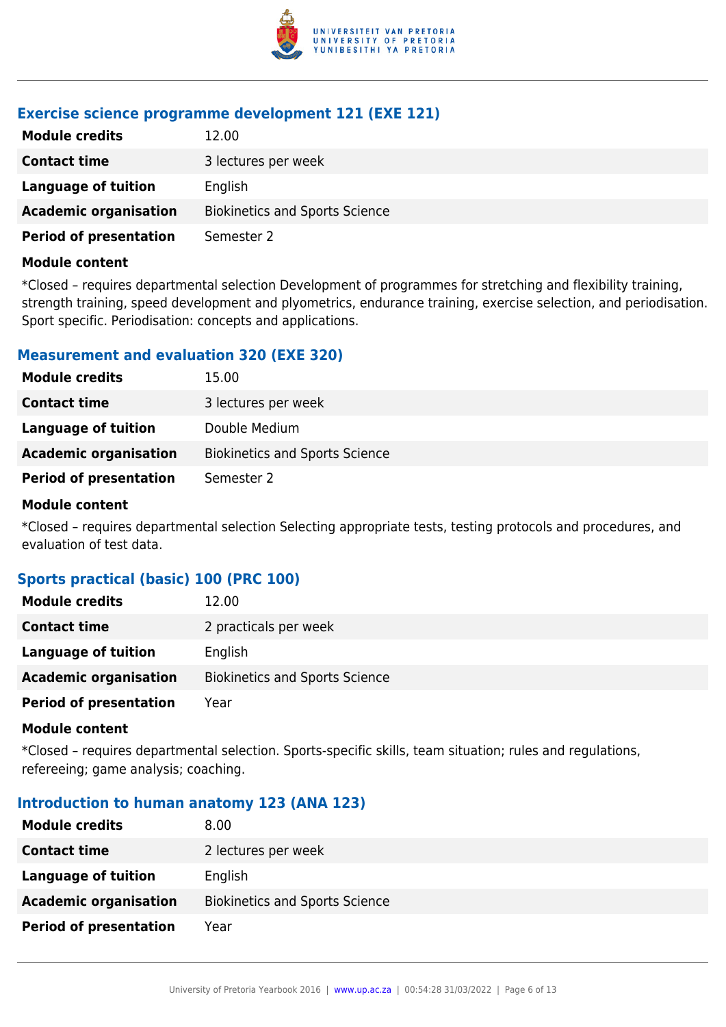

# **Exercise science programme development 121 (EXE 121)**

| <b>Module credits</b>         | 12.00                                 |
|-------------------------------|---------------------------------------|
| <b>Contact time</b>           | 3 lectures per week                   |
| Language of tuition           | English                               |
| <b>Academic organisation</b>  | <b>Biokinetics and Sports Science</b> |
| <b>Period of presentation</b> | Semester 2                            |

#### **Module content**

\*Closed – requires departmental selection Development of programmes for stretching and flexibility training, strength training, speed development and plyometrics, endurance training, exercise selection, and periodisation. Sport specific. Periodisation: concepts and applications.

# **Measurement and evaluation 320 (EXE 320)**

| <b>Module credits</b>         | 15.00                                 |
|-------------------------------|---------------------------------------|
| <b>Contact time</b>           | 3 lectures per week                   |
| Language of tuition           | Double Medium                         |
| <b>Academic organisation</b>  | <b>Biokinetics and Sports Science</b> |
| <b>Period of presentation</b> | Semester 2                            |

#### **Module content**

\*Closed – requires departmental selection Selecting appropriate tests, testing protocols and procedures, and evaluation of test data.

# **Sports practical (basic) 100 (PRC 100)**

| <b>Module credits</b>         | 12.00                                 |
|-------------------------------|---------------------------------------|
| <b>Contact time</b>           | 2 practicals per week                 |
| Language of tuition           | English                               |
| <b>Academic organisation</b>  | <b>Biokinetics and Sports Science</b> |
| <b>Period of presentation</b> | Year                                  |

#### **Module content**

\*Closed – requires departmental selection. Sports-specific skills, team situation; rules and regulations, refereeing; game analysis; coaching.

# **Introduction to human anatomy 123 (ANA 123)**

| <b>Module credits</b>         | 8.00                                  |
|-------------------------------|---------------------------------------|
| <b>Contact time</b>           | 2 lectures per week                   |
| Language of tuition           | English                               |
| <b>Academic organisation</b>  | <b>Biokinetics and Sports Science</b> |
| <b>Period of presentation</b> | Year                                  |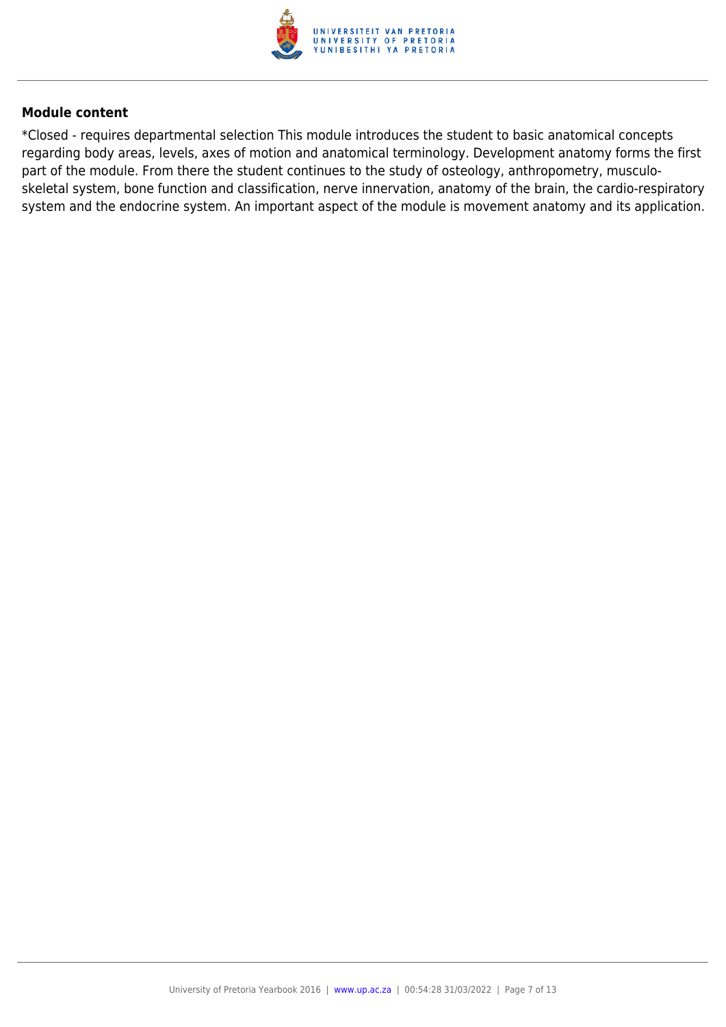

\*Closed - requires departmental selection This module introduces the student to basic anatomical concepts regarding body areas, levels, axes of motion and anatomical terminology. Development anatomy forms the first part of the module. From there the student continues to the study of osteology, anthropometry, musculoskeletal system, bone function and classification, nerve innervation, anatomy of the brain, the cardio-respiratory system and the endocrine system. An important aspect of the module is movement anatomy and its application.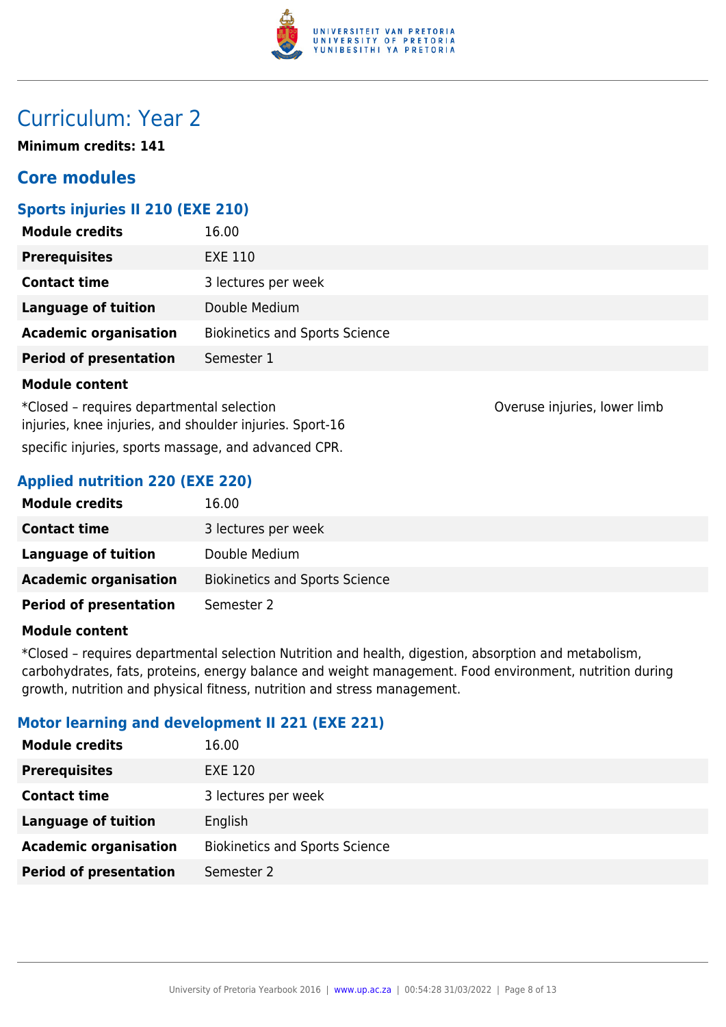

# Curriculum: Year 2

**Minimum credits: 141**

# **Core modules**

# **Sports injuries II 210 (EXE 210)**

| <b>Module credits</b>         | 16.00                                 |
|-------------------------------|---------------------------------------|
| <b>Prerequisites</b>          | <b>EXE 110</b>                        |
| <b>Contact time</b>           | 3 lectures per week                   |
| <b>Language of tuition</b>    | Double Medium                         |
| <b>Academic organisation</b>  | <b>Biokinetics and Sports Science</b> |
| <b>Period of presentation</b> | Semester 1                            |
| <b>Module content</b>         |                                       |

\*Closed – requires departmental selection Overuse injuries, lower limb injuries, knee injuries, and shoulder injuries. Sport-16 specific injuries, sports massage, and advanced CPR.

# **Applied nutrition 220 (EXE 220)**

| <b>Module credits</b>         | 16.00                                 |
|-------------------------------|---------------------------------------|
| <b>Contact time</b>           | 3 lectures per week                   |
| Language of tuition           | Double Medium                         |
| <b>Academic organisation</b>  | <b>Biokinetics and Sports Science</b> |
| <b>Period of presentation</b> | Semester 2                            |

#### **Module content**

\*Closed – requires departmental selection Nutrition and health, digestion, absorption and metabolism, carbohydrates, fats, proteins, energy balance and weight management. Food environment, nutrition during growth, nutrition and physical fitness, nutrition and stress management.

# **Motor learning and development II 221 (EXE 221)**

| <b>Module credits</b>         | 16.00                                 |
|-------------------------------|---------------------------------------|
| <b>Prerequisites</b>          | <b>EXE 120</b>                        |
| <b>Contact time</b>           | 3 lectures per week                   |
| <b>Language of tuition</b>    | English                               |
| <b>Academic organisation</b>  | <b>Biokinetics and Sports Science</b> |
| <b>Period of presentation</b> | Semester 2                            |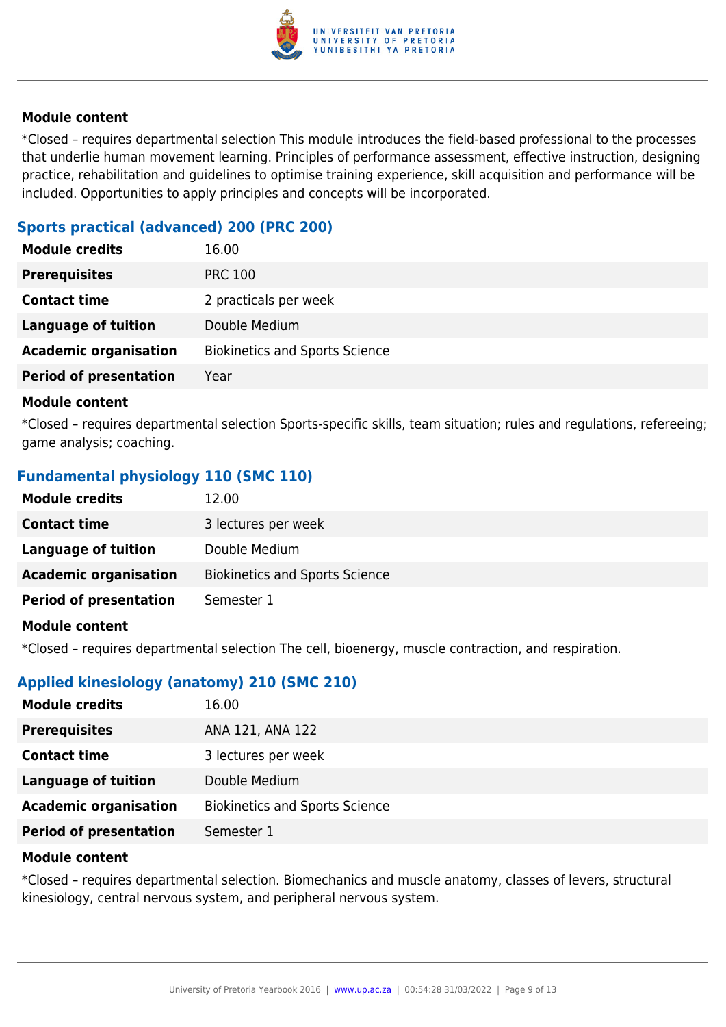

\*Closed – requires departmental selection This module introduces the field-based professional to the processes that underlie human movement learning. Principles of performance assessment, effective instruction, designing practice, rehabilitation and guidelines to optimise training experience, skill acquisition and performance will be included. Opportunities to apply principles and concepts will be incorporated.

# **Sports practical (advanced) 200 (PRC 200)**

| <b>Module credits</b>         | 16.00                                 |
|-------------------------------|---------------------------------------|
| <b>Prerequisites</b>          | <b>PRC 100</b>                        |
| <b>Contact time</b>           | 2 practicals per week                 |
| <b>Language of tuition</b>    | Double Medium                         |
| <b>Academic organisation</b>  | <b>Biokinetics and Sports Science</b> |
| <b>Period of presentation</b> | Year                                  |

#### **Module content**

\*Closed – requires departmental selection Sports-specific skills, team situation; rules and regulations, refereeing; game analysis; coaching.

# **Fundamental physiology 110 (SMC 110)**

| <b>Module credits</b>         | 12.00                                 |
|-------------------------------|---------------------------------------|
| <b>Contact time</b>           | 3 lectures per week                   |
| Language of tuition           | Double Medium                         |
| <b>Academic organisation</b>  | <b>Biokinetics and Sports Science</b> |
| <b>Period of presentation</b> | Semester 1                            |
| Module content                |                                       |

#### **Module content**

\*Closed – requires departmental selection The cell, bioenergy, muscle contraction, and respiration.

# **Applied kinesiology (anatomy) 210 (SMC 210)**

| <b>Module credits</b>         | 16.00                                 |
|-------------------------------|---------------------------------------|
| <b>Prerequisites</b>          | ANA 121, ANA 122                      |
| <b>Contact time</b>           | 3 lectures per week                   |
| <b>Language of tuition</b>    | Double Medium                         |
| <b>Academic organisation</b>  | <b>Biokinetics and Sports Science</b> |
| <b>Period of presentation</b> | Semester 1                            |

#### **Module content**

\*Closed – requires departmental selection. Biomechanics and muscle anatomy, classes of levers, structural kinesiology, central nervous system, and peripheral nervous system.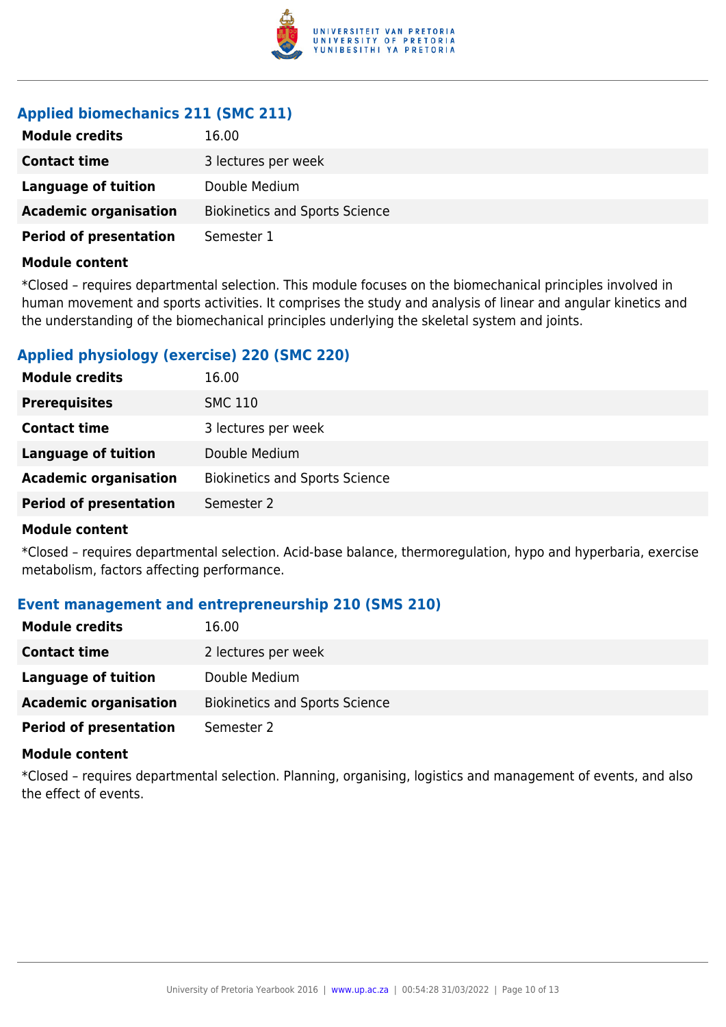

# **Applied biomechanics 211 (SMC 211)**

| <b>Module credits</b>         | 16.00                                 |
|-------------------------------|---------------------------------------|
| <b>Contact time</b>           | 3 lectures per week                   |
| Language of tuition           | Double Medium                         |
| <b>Academic organisation</b>  | <b>Biokinetics and Sports Science</b> |
| <b>Period of presentation</b> | Semester 1                            |

#### **Module content**

\*Closed – requires departmental selection. This module focuses on the biomechanical principles involved in human movement and sports activities. It comprises the study and analysis of linear and angular kinetics and the understanding of the biomechanical principles underlying the skeletal system and joints.

# **Applied physiology (exercise) 220 (SMC 220)**

| <b>Module credits</b>         | 16.00                                 |
|-------------------------------|---------------------------------------|
| <b>Prerequisites</b>          | <b>SMC 110</b>                        |
| <b>Contact time</b>           | 3 lectures per week                   |
| <b>Language of tuition</b>    | Double Medium                         |
| <b>Academic organisation</b>  | <b>Biokinetics and Sports Science</b> |
| <b>Period of presentation</b> | Semester 2                            |
|                               |                                       |

#### **Module content**

\*Closed – requires departmental selection. Acid-base balance, thermoregulation, hypo and hyperbaria, exercise metabolism, factors affecting performance.

# **Event management and entrepreneurship 210 (SMS 210)**

| <b>Module credits</b>         | 16.00                                 |
|-------------------------------|---------------------------------------|
| <b>Contact time</b>           | 2 lectures per week                   |
| Language of tuition           | Double Medium                         |
| <b>Academic organisation</b>  | <b>Biokinetics and Sports Science</b> |
| <b>Period of presentation</b> | Semester 2                            |

#### **Module content**

\*Closed – requires departmental selection. Planning, organising, logistics and management of events, and also the effect of events.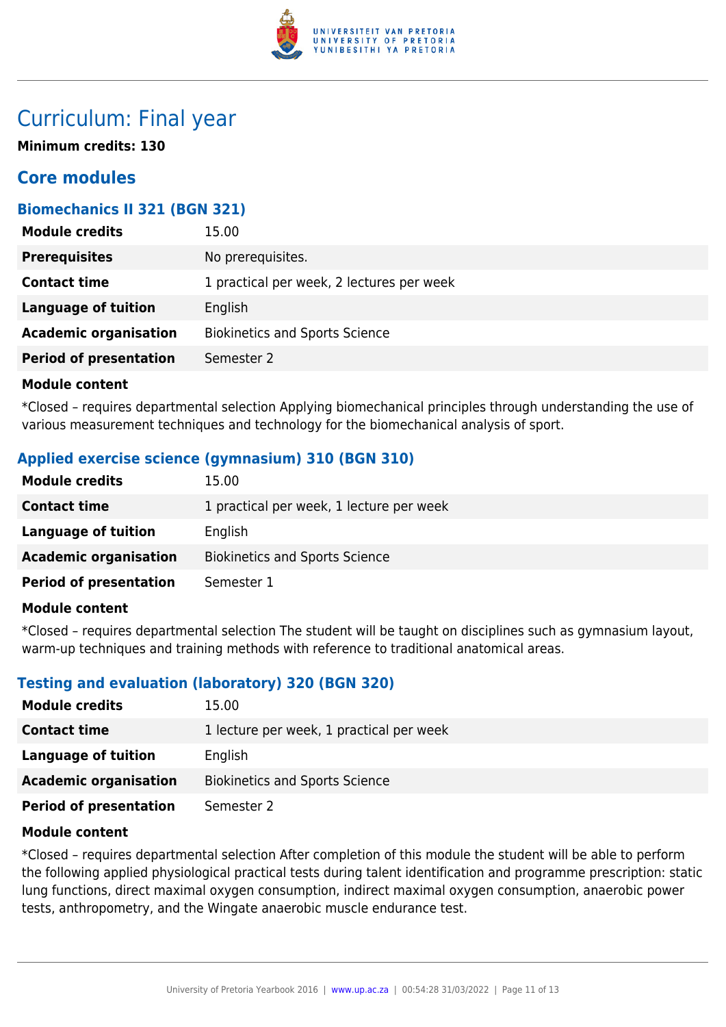

# Curriculum: Final year

**Minimum credits: 130**

# **Core modules**

# **Biomechanics II 321 (BGN 321)**

| <b>Prerequisites</b><br>No prerequisites.<br>1 practical per week, 2 lectures per week<br><b>Contact time</b> |
|---------------------------------------------------------------------------------------------------------------|
|                                                                                                               |
|                                                                                                               |
| <b>Language of tuition</b><br>English                                                                         |
| <b>Academic organisation</b><br><b>Biokinetics and Sports Science</b>                                         |
| <b>Period of presentation</b><br>Semester 2                                                                   |

# **Module content**

\*Closed – requires departmental selection Applying biomechanical principles through understanding the use of various measurement techniques and technology for the biomechanical analysis of sport.

# **Applied exercise science (gymnasium) 310 (BGN 310)**

| <b>Module credits</b>         | 15.00                                    |
|-------------------------------|------------------------------------------|
| <b>Contact time</b>           | 1 practical per week, 1 lecture per week |
| Language of tuition           | English                                  |
| <b>Academic organisation</b>  | <b>Biokinetics and Sports Science</b>    |
| <b>Period of presentation</b> | Semester 1                               |

# **Module content**

\*Closed – requires departmental selection The student will be taught on disciplines such as gymnasium layout, warm-up techniques and training methods with reference to traditional anatomical areas.

# **Testing and evaluation (laboratory) 320 (BGN 320)**

| <b>Module credits</b>         | 15.00                                    |
|-------------------------------|------------------------------------------|
| <b>Contact time</b>           | 1 lecture per week, 1 practical per week |
| Language of tuition           | English                                  |
| <b>Academic organisation</b>  | <b>Biokinetics and Sports Science</b>    |
| <b>Period of presentation</b> | Semester 2                               |

# **Module content**

\*Closed – requires departmental selection After completion of this module the student will be able to perform the following applied physiological practical tests during talent identification and programme prescription: static lung functions, direct maximal oxygen consumption, indirect maximal oxygen consumption, anaerobic power tests, anthropometry, and the Wingate anaerobic muscle endurance test.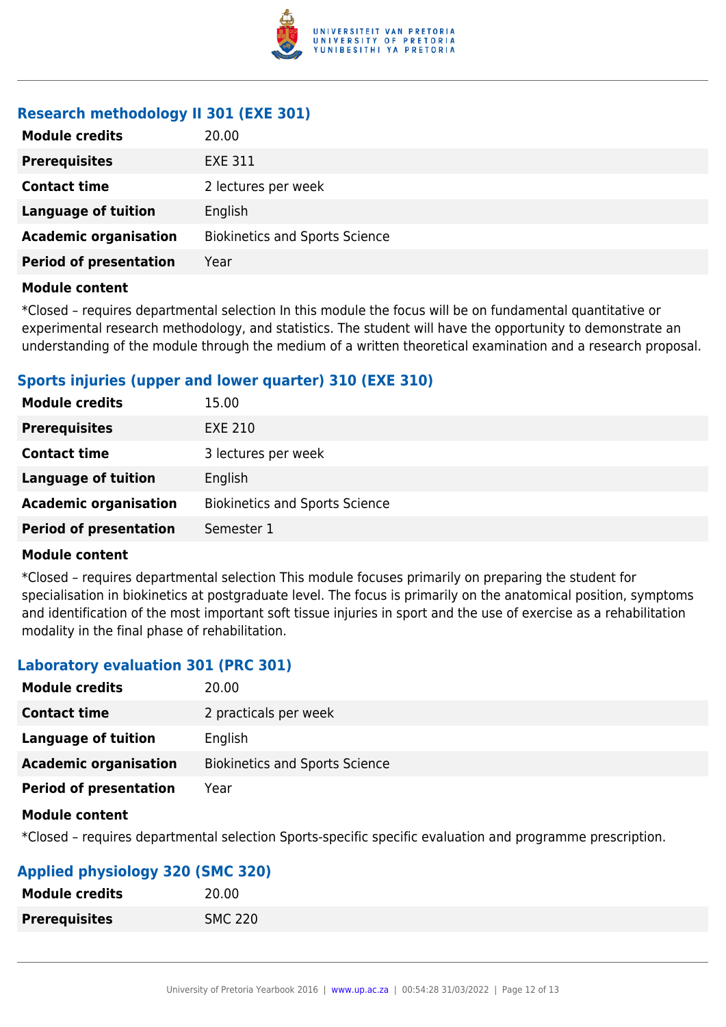

# **Research methodology II 301 (EXE 301)**

| <b>Module credits</b>         | 20.00                                 |
|-------------------------------|---------------------------------------|
| <b>Prerequisites</b>          | <b>EXE 311</b>                        |
| <b>Contact time</b>           | 2 lectures per week                   |
| <b>Language of tuition</b>    | English                               |
| <b>Academic organisation</b>  | <b>Biokinetics and Sports Science</b> |
| <b>Period of presentation</b> | Year                                  |
|                               |                                       |

#### **Module content**

\*Closed – requires departmental selection In this module the focus will be on fundamental quantitative or experimental research methodology, and statistics. The student will have the opportunity to demonstrate an understanding of the module through the medium of a written theoretical examination and a research proposal.

# **Sports injuries (upper and lower quarter) 310 (EXE 310)**

| <b>Module credits</b>         | 15.00                                 |
|-------------------------------|---------------------------------------|
| <b>Prerequisites</b>          | <b>EXE 210</b>                        |
| <b>Contact time</b>           | 3 lectures per week                   |
| <b>Language of tuition</b>    | English                               |
| <b>Academic organisation</b>  | <b>Biokinetics and Sports Science</b> |
| <b>Period of presentation</b> | Semester 1                            |

#### **Module content**

\*Closed – requires departmental selection This module focuses primarily on preparing the student for specialisation in biokinetics at postgraduate level. The focus is primarily on the anatomical position, symptoms and identification of the most important soft tissue injuries in sport and the use of exercise as a rehabilitation modality in the final phase of rehabilitation.

# **Laboratory evaluation 301 (PRC 301)**

| <b>Module credits</b>         | 20.00                                 |
|-------------------------------|---------------------------------------|
| <b>Contact time</b>           | 2 practicals per week                 |
| <b>Language of tuition</b>    | English                               |
| <b>Academic organisation</b>  | <b>Biokinetics and Sports Science</b> |
| <b>Period of presentation</b> | Year                                  |

#### **Module content**

\*Closed – requires departmental selection Sports-specific specific evaluation and programme prescription.

# **Applied physiology 320 (SMC 320)**

| <b>Module credits</b> | 20.00          |
|-----------------------|----------------|
| <b>Prerequisites</b>  | <b>SMC 220</b> |